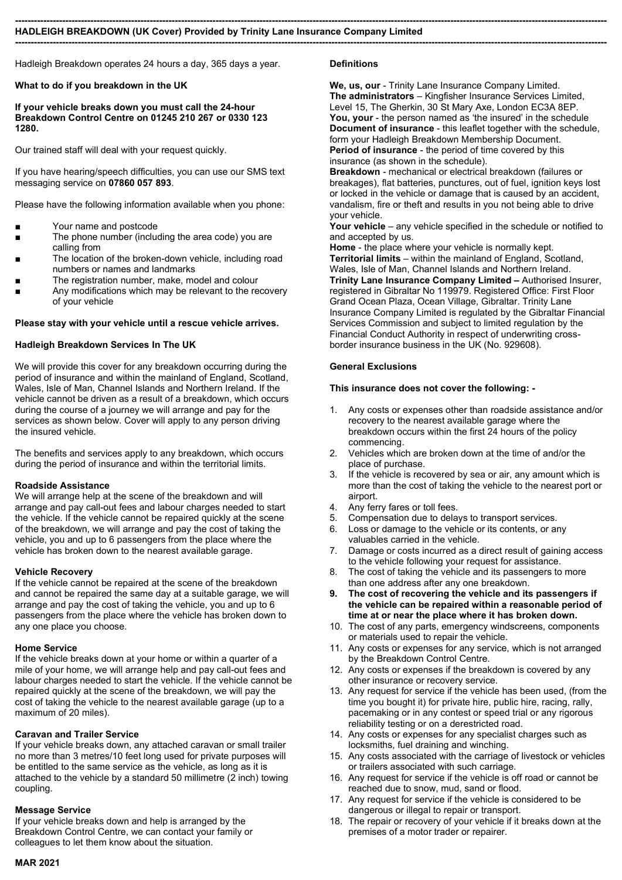#### --------------------------------------------------------------------------------------------------------------------------------------------------------------------------------------------- HADLEIGH BREAKDOWN (UK Cover) Provided by Trinity Lane Insurance Company Limited

Hadleigh Breakdown operates 24 hours a day, 365 days a year.

# What to do if you breakdown in the UK

If your vehicle breaks down you must call the 24-hour Breakdown Control Centre on 01245 210 267 or 0330 123 1280.

Our trained staff will deal with your request quickly.

If you have hearing/speech difficulties, you can use our SMS text messaging service on 07860 057 893.

Please have the following information available when you phone:

- Your name and postcode
- The phone number (including the area code) you are calling from
- The location of the broken-down vehicle, including road numbers or names and landmarks
- The registration number, make, model and colour
- Any modifications which may be relevant to the recovery of your vehicle

### Please stay with your vehicle until a rescue vehicle arrives.

### Hadleigh Breakdown Services In The UK

We will provide this cover for any breakdown occurring during the period of insurance and within the mainland of England, Scotland, Wales, Isle of Man, Channel Islands and Northern Ireland. If the vehicle cannot be driven as a result of a breakdown, which occurs during the course of a journey we will arrange and pay for the services as shown below. Cover will apply to any person driving the insured vehicle.

The benefits and services apply to any breakdown, which occurs during the period of insurance and within the territorial limits.

#### Roadside Assistance

We will arrange help at the scene of the breakdown and will arrange and pay call-out fees and labour charges needed to start the vehicle. If the vehicle cannot be repaired quickly at the scene of the breakdown, we will arrange and pay the cost of taking the vehicle, you and up to 6 passengers from the place where the vehicle has broken down to the nearest available garage.

#### Vehicle Recovery

If the vehicle cannot be repaired at the scene of the breakdown and cannot be repaired the same day at a suitable garage, we will arrange and pay the cost of taking the vehicle, you and up to 6 passengers from the place where the vehicle has broken down to any one place you choose.

#### Home Service

If the vehicle breaks down at your home or within a quarter of a mile of your home, we will arrange help and pay call-out fees and labour charges needed to start the vehicle. If the vehicle cannot be repaired quickly at the scene of the breakdown, we will pay the cost of taking the vehicle to the nearest available garage (up to a maximum of 20 miles).

#### Caravan and Trailer Service

If your vehicle breaks down, any attached caravan or small trailer no more than 3 metres/10 feet long used for private purposes will be entitled to the same service as the vehicle, as long as it is attached to the vehicle by a standard 50 millimetre (2 inch) towing coupling.

#### Message Service

If your vehicle breaks down and help is arranged by the Breakdown Control Centre, we can contact your family or colleagues to let them know about the situation.

### Definitions

---------------------------------------------------------------------------------------------------------------------------------------------------------------------------------------------

We, us, our - Trinity Lane Insurance Company Limited. The administrators – Kingfisher Insurance Services Limited, Level 15, The Gherkin, 30 St Mary Axe, London EC3A 8EP. You, your - the person named as 'the insured' in the schedule Document of insurance - this leaflet together with the schedule, form your Hadleigh Breakdown Membership Document. Period of insurance - the period of time covered by this

insurance (as shown in the schedule). Breakdown - mechanical or electrical breakdown (failures or

breakages), flat batteries, punctures, out of fuel, ignition keys lost or locked in the vehicle or damage that is caused by an accident, vandalism, fire or theft and results in you not being able to drive your vehicle.

Your vehicle – any vehicle specified in the schedule or notified to and accepted by us.

Home - the place where your vehicle is normally kept. Territorial limits – within the mainland of England, Scotland, Wales, Isle of Man, Channel Islands and Northern Ireland. Trinity Lane Insurance Company Limited – Authorised Insurer, registered in Gibraltar No 119979. Registered Office: First Floor Grand Ocean Plaza, Ocean Village, Gibraltar. Trinity Lane Insurance Company Limited is regulated by the Gibraltar Financial Services Commission and subject to limited regulation by the Financial Conduct Authority in respect of underwriting crossborder insurance business in the UK (No. 929608).

### General Exclusions

### This insurance does not cover the following: -

- 1. Any costs or expenses other than roadside assistance and/or recovery to the nearest available garage where the breakdown occurs within the first 24 hours of the policy commencing.
- 2. Vehicles which are broken down at the time of and/or the place of purchase.
- 3. If the vehicle is recovered by sea or air, any amount which is more than the cost of taking the vehicle to the nearest port or airport.
- 4. Any ferry fares or toll fees.
- 5. Compensation due to delays to transport services.
- 6. Loss or damage to the vehicle or its contents, or any valuables carried in the vehicle.
- 7. Damage or costs incurred as a direct result of gaining access to the vehicle following your request for assistance.
- 8. The cost of taking the vehicle and its passengers to more than one address after any one breakdown.
- 9. The cost of recovering the vehicle and its passengers if the vehicle can be repaired within a reasonable period of time at or near the place where it has broken down.
- 10. The cost of any parts, emergency windscreens, components or materials used to repair the vehicle.
- 11. Any costs or expenses for any service, which is not arranged by the Breakdown Control Centre.
- 12. Any costs or expenses if the breakdown is covered by any other insurance or recovery service.
- 13. Any request for service if the vehicle has been used, (from the time you bought it) for private hire, public hire, racing, rally, pacemaking or in any contest or speed trial or any rigorous reliability testing or on a derestricted road.
- 14. Any costs or expenses for any specialist charges such as locksmiths, fuel draining and winching.
- 15. Any costs associated with the carriage of livestock or vehicles or trailers associated with such carriage.
- 16. Any request for service if the vehicle is off road or cannot be reached due to snow, mud, sand or flood.
- 17. Any request for service if the vehicle is considered to be dangerous or illegal to repair or transport.
- 18. The repair or recovery of your vehicle if it breaks down at the premises of a motor trader or repairer.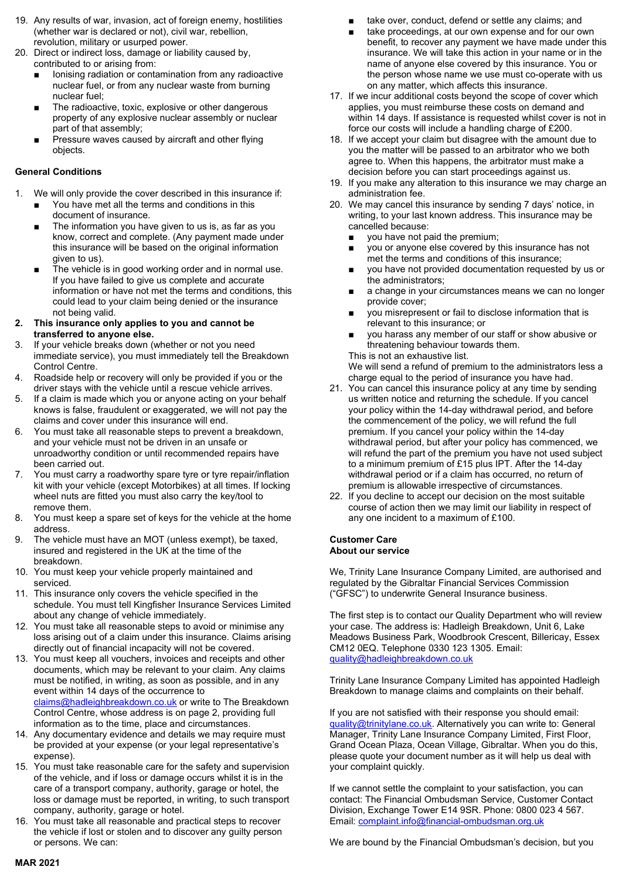- 19. Any results of war, invasion, act of foreign enemy, hostilities (whether war is declared or not), civil war, rebellion, revolution, military or usurped power.
- 20. Direct or indirect loss, damage or liability caused by, contributed to or arising from:
	- Ionising radiation or contamination from any radioactive nuclear fuel, or from any nuclear waste from burning nuclear fuel;
	- The radioactive, toxic, explosive or other dangerous property of any explosive nuclear assembly or nuclear part of that assembly;
	- Pressure waves caused by aircraft and other flying objects.

# General Conditions

- 1. We will only provide the cover described in this insurance if:
	- You have met all the terms and conditions in this document of insurance.
	- The information you have given to us is, as far as you know, correct and complete. (Any payment made under this insurance will be based on the original information given to us).
	- The vehicle is in good working order and in normal use. If you have failed to give us complete and accurate information or have not met the terms and conditions, this could lead to your claim being denied or the insurance not being valid.
- 2. This insurance only applies to you and cannot be transferred to anyone else.
- 3. If your vehicle breaks down (whether or not you need immediate service), you must immediately tell the Breakdown Control Centre.
- 4. Roadside help or recovery will only be provided if you or the driver stays with the vehicle until a rescue vehicle arrives.
- 5. If a claim is made which you or anyone acting on your behalf knows is false, fraudulent or exaggerated, we will not pay the claims and cover under this insurance will end.
- 6. You must take all reasonable steps to prevent a breakdown, and your vehicle must not be driven in an unsafe or unroadworthy condition or until recommended repairs have been carried out.
- You must carry a roadworthy spare tyre or tyre repair/inflation kit with your vehicle (except Motorbikes) at all times. If locking wheel nuts are fitted you must also carry the key/tool to remove them.
- 8. You must keep a spare set of keys for the vehicle at the home address.
- 9. The vehicle must have an MOT (unless exempt), be taxed, insured and registered in the UK at the time of the breakdown.
- 10. You must keep your vehicle properly maintained and serviced.
- 11. This insurance only covers the vehicle specified in the schedule. You must tell Kingfisher Insurance Services Limited about any change of vehicle immediately.
- 12. You must take all reasonable steps to avoid or minimise any loss arising out of a claim under this insurance. Claims arising directly out of financial incapacity will not be covered.
- 13. You must keep all vouchers, invoices and receipts and other documents, which may be relevant to your claim. Any claims must be notified, in writing, as soon as possible, and in any event within 14 days of the occurrence to claims@hadleighbreakdown.co.uk or write to The Breakdown Control Centre, whose address is on page 2, providing full information as to the time, place and circumstances.
- 14. Any documentary evidence and details we may require must be provided at your expense (or your legal representative's expense).
- 15. You must take reasonable care for the safety and supervision of the vehicle, and if loss or damage occurs whilst it is in the care of a transport company, authority, garage or hotel, the loss or damage must be reported, in writing, to such transport company, authority, garage or hotel.
- 16. You must take all reasonable and practical steps to recover the vehicle if lost or stolen and to discover any guilty person or persons. We can:
- take over, conduct, defend or settle any claims; and
- take proceedings, at our own expense and for our own benefit, to recover any payment we have made under this insurance. We will take this action in your name or in the name of anyone else covered by this insurance. You or the person whose name we use must co-operate with us on any matter, which affects this insurance.
- 17. If we incur additional costs beyond the scope of cover which applies, you must reimburse these costs on demand and within 14 days. If assistance is requested whilst cover is not in force our costs will include a handling charge of £200.
- 18. If we accept your claim but disagree with the amount due to you the matter will be passed to an arbitrator who we both agree to. When this happens, the arbitrator must make a decision before you can start proceedings against us.
- 19. If you make any alteration to this insurance we may charge an administration fee.
- 20. We may cancel this insurance by sending 7 days' notice, in writing, to your last known address. This insurance may be cancelled because:
	- you have not paid the premium;
	- you or anyone else covered by this insurance has not met the terms and conditions of this insurance;
	- you have not provided documentation requested by us or the administrators;
	- a change in your circumstances means we can no longer provide cover;
	- you misrepresent or fail to disclose information that is relevant to this insurance; or
	- you harass any member of our staff or show abusive or threatening behaviour towards them. This is not an exhaustive list.

We will send a refund of premium to the administrators less a charge equal to the period of insurance you have had.

- 21. You can cancel this insurance policy at any time by sending us written notice and returning the schedule. If you cancel your policy within the 14-day withdrawal period, and before the commencement of the policy, we will refund the full premium. If you cancel your policy within the 14-day withdrawal period, but after your policy has commenced, we will refund the part of the premium you have not used subject to a minimum premium of £15 plus IPT. After the 14-day withdrawal period or if a claim has occurred, no return of premium is allowable irrespective of circumstances.
- 22. If you decline to accept our decision on the most suitable course of action then we may limit our liability in respect of any one incident to a maximum of £100.

### Customer Care About our service

We, Trinity Lane Insurance Company Limited, are authorised and regulated by the Gibraltar Financial Services Commission ("GFSC") to underwrite General Insurance business.

The first step is to contact our Quality Department who will review your case. The address is: Hadleigh Breakdown, Unit 6, Lake Meadows Business Park, Woodbrook Crescent, Billericay, Essex CM12 0EQ. Telephone 0330 123 1305. Email: quality@hadleighbreakdown.co.uk

Trinity Lane Insurance Company Limited has appointed Hadleigh Breakdown to manage claims and complaints on their behalf.

If you are not satisfied with their response you should email: guality@trinitylane.co.uk. Alternatively you can write to: General Manager, Trinity Lane Insurance Company Limited, First Floor, Grand Ocean Plaza, Ocean Village, Gibraltar. When you do this, please quote your document number as it will help us deal with your complaint quickly.

If we cannot settle the complaint to your satisfaction, you can contact: The Financial Ombudsman Service, Customer Contact Division, Exchange Tower E14 9SR. Phone: 0800 023 4 567. Email: complaint.info@financial-ombudsman.org.uk

We are bound by the Financial Ombudsman's decision, but you